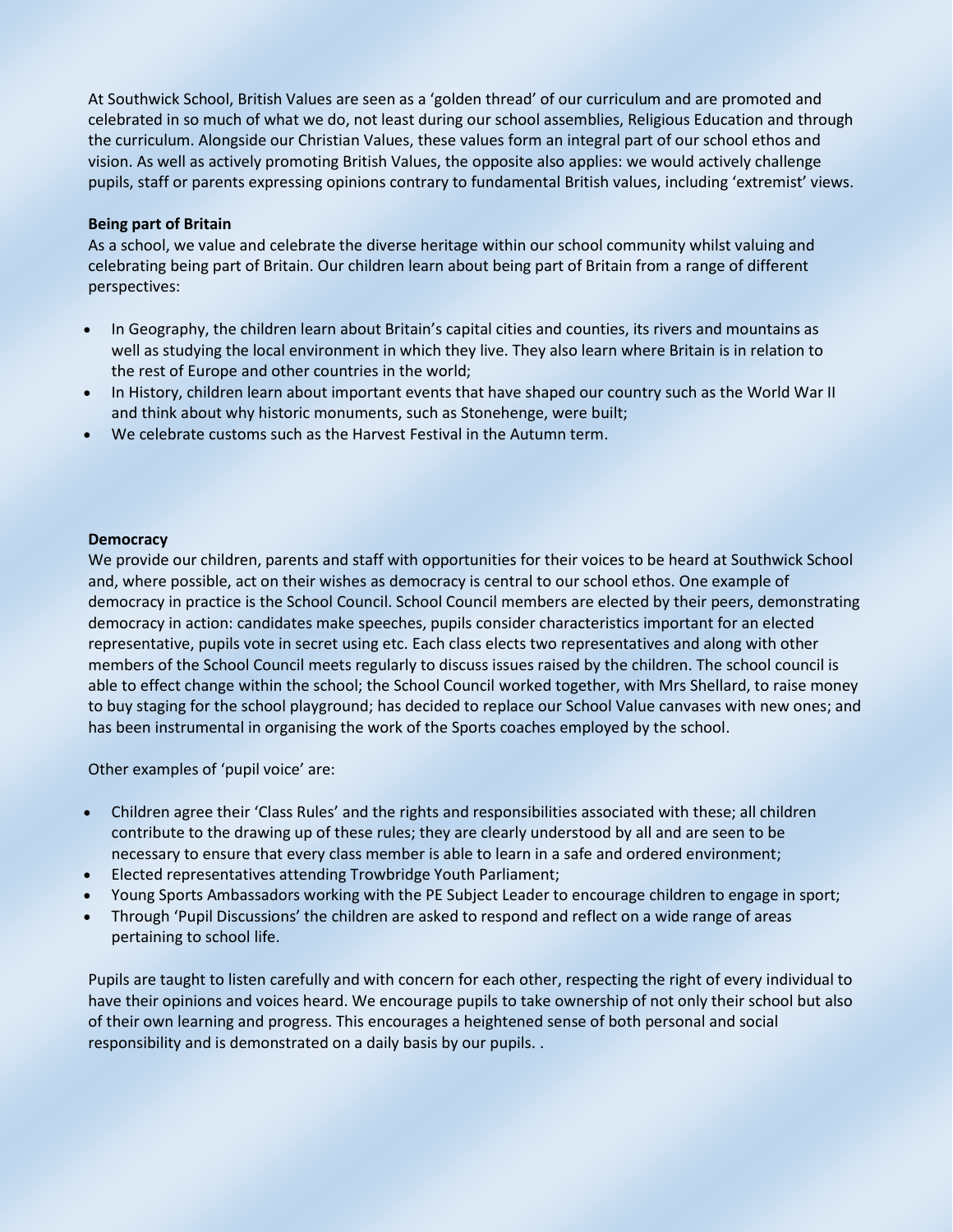At Southwick School, British Values are seen as a 'golden thread' of our curriculum and are promoted and celebrated in so much of what we do, not least during our school assemblies, Religious Education and through the curriculum. Alongside our Christian Values, these values form an integral part of our school ethos and vision. As well as actively promoting British Values, the opposite also applies: we would actively challenge pupils, staff or parents expressing opinions contrary to fundamental British values, including 'extremist' views.

## **Being part of Britain**

As a school, we value and celebrate the diverse heritage within our school community whilst valuing and celebrating being part of Britain. Our children learn about being part of Britain from a range of different perspectives:

- In Geography, the children learn about Britain's capital cities and counties, its rivers and mountains as well as studying the local environment in which they live. They also learn where Britain is in relation to the rest of Europe and other countries in the world;
- In History, children learn about important events that have shaped our country such as the World War II and think about why historic monuments, such as Stonehenge, were built;
- We celebrate customs such as the Harvest Festival in the Autumn term.

#### **Democracy**

We provide our children, parents and staff with opportunities for their voices to be heard at Southwick School and, where possible, act on their wishes as democracy is central to our school ethos. One example of democracy in practice is the School Council. School Council members are elected by their peers, demonstrating democracy in action: candidates make speeches, pupils consider characteristics important for an elected representative, pupils vote in secret using etc. Each class elects two representatives and along with other members of the School Council meets regularly to discuss issues raised by the children. The school council is able to effect change within the school; the School Council worked together, with Mrs Shellard, to raise money to buy staging for the school playground; has decided to replace our School Value canvases with new ones; and has been instrumental in organising the work of the Sports coaches employed by the school.

Other examples of 'pupil voice' are:

- Children agree their 'Class Rules' and the rights and responsibilities associated with these; all children contribute to the drawing up of these rules; they are clearly understood by all and are seen to be necessary to ensure that every class member is able to learn in a safe and ordered environment;
- Elected representatives attending Trowbridge Youth Parliament;
- Young Sports Ambassadors working with the PE Subject Leader to encourage children to engage in sport;
- Through 'Pupil Discussions' the children are asked to respond and reflect on a wide range of areas pertaining to school life.

Pupils are taught to listen carefully and with concern for each other, respecting the right of every individual to have their opinions and voices heard. We encourage pupils to take ownership of not only their school but also of their own learning and progress. This encourages a heightened sense of both personal and social responsibility and is demonstrated on a daily basis by our pupils. .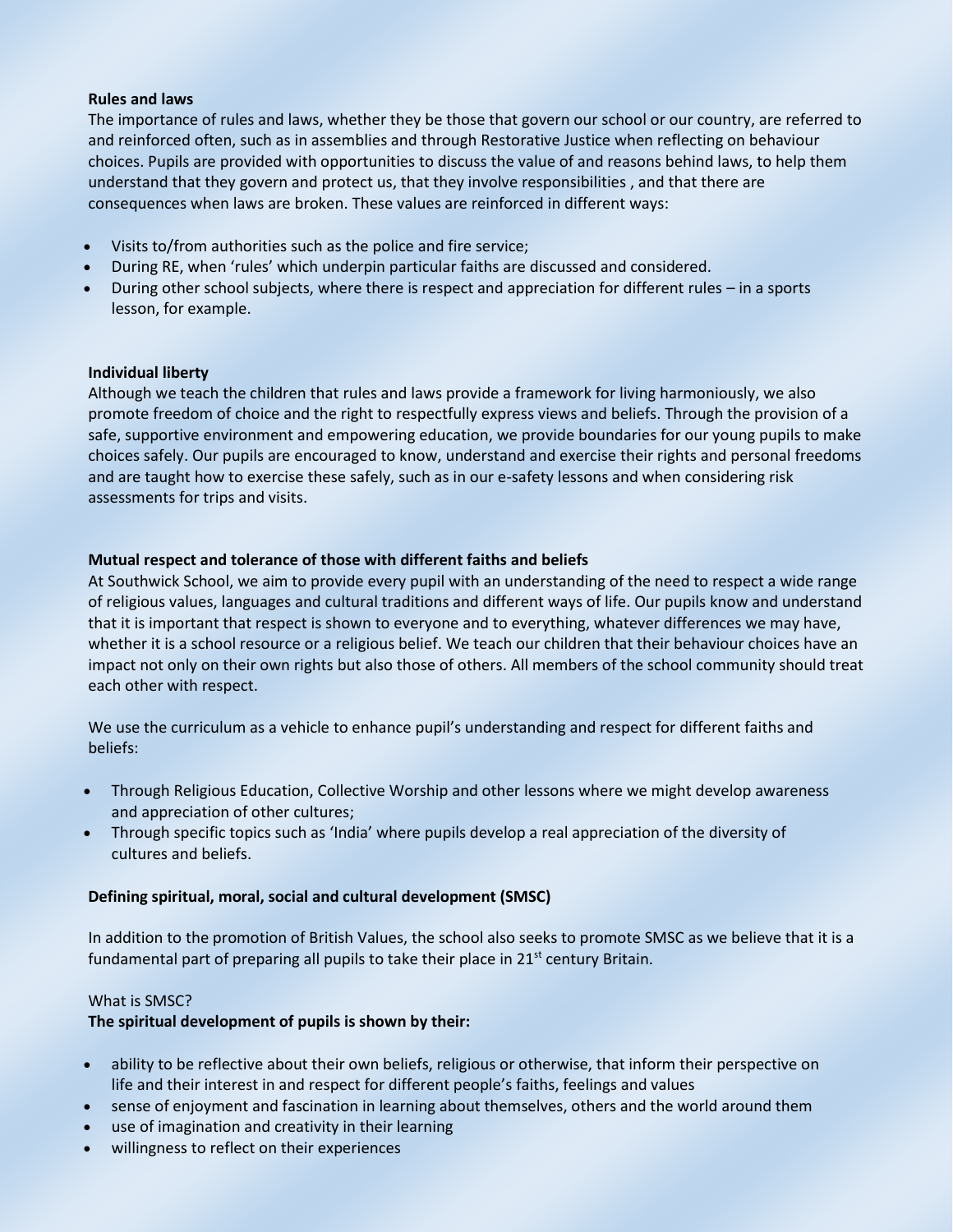#### **Rules and laws**

The importance of rules and laws, whether they be those that govern our school or our country, are referred to and reinforced often, such as in assemblies and through Restorative Justice when reflecting on behaviour choices. Pupils are provided with opportunities to discuss the value of and reasons behind laws, to help them understand that they govern and protect us, that they involve responsibilities , and that there are consequences when laws are broken. These values are reinforced in different ways:

- Visits to/from authorities such as the police and fire service;
- During RE, when 'rules' which underpin particular faiths are discussed and considered.
- During other school subjects, where there is respect and appreciation for different rules in a sports lesson, for example.

#### **Individual liberty**

Although we teach the children that rules and laws provide a framework for living harmoniously, we also promote freedom of choice and the right to respectfully express views and beliefs. Through the provision of a safe, supportive environment and empowering education, we provide boundaries for our young pupils to make choices safely. Our pupils are encouraged to know, understand and exercise their rights and personal freedoms and are taught how to exercise these safely, such as in our e-safety lessons and when considering risk assessments for trips and visits.

## **Mutual respect and tolerance of those with different faiths and beliefs**

At Southwick School, we aim to provide every pupil with an understanding of the need to respect a wide range of religious values, languages and cultural traditions and different ways of life. Our pupils know and understand that it is important that respect is shown to everyone and to everything, whatever differences we may have, whether it is a school resource or a religious belief. We teach our children that their behaviour choices have an impact not only on their own rights but also those of others. All members of the school community should treat each other with respect.

We use the curriculum as a vehicle to enhance pupil's understanding and respect for different faiths and beliefs:

- Through Religious Education, Collective Worship and other lessons where we might develop awareness and appreciation of other cultures;
- Through specific topics such as 'India' where pupils develop a real appreciation of the diversity of cultures and beliefs.

## **Defining spiritual, moral, social and cultural development (SMSC)**

In addition to the promotion of British Values, the school also seeks to promote SMSC as we believe that it is a fundamental part of preparing all pupils to take their place in  $21<sup>st</sup>$  century Britain.

## What is SMSC?

## **The spiritual development of pupils is shown by their:**

- ability to be reflective about their own beliefs, religious or otherwise, that inform their perspective on life and their interest in and respect for different people's faiths, feelings and values
- sense of enjoyment and fascination in learning about themselves, others and the world around them
- use of imagination and creativity in their learning
- willingness to reflect on their experiences